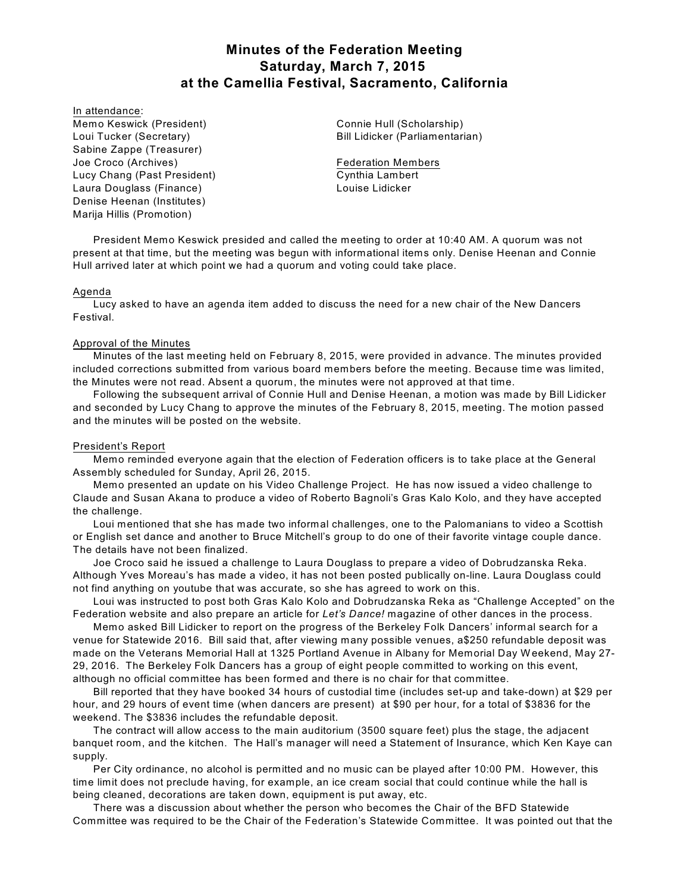# **Minutes of the Federation Meeting Saturday, March 7, 2015 at the Camellia Festival, Sacramento, California**

In attendance:

Memo Keswick (President) Loui Tucker (Secretary) Sabine Zappe (Treasurer) Joe Croco (Archives) Lucy Chang (Past President) Laura Douglass (Finance) Denise Heenan (Institutes) Marija Hillis (Promotion)

Connie Hull (Scholarship) Bill Lidicker (Parliamentarian)

Federation Members Cynthia Lambert Louise Lidicker

President Memo Keswick presided and called the meeting to order at 10:40 AM. A quorum was not present at that time, but the meeting was begun with informational items only. Denise Heenan and Connie Hull arrived later at which point we had a quorum and voting could take place.

#### Agenda

Lucy asked to have an agenda item added to discuss the need for a new chair of the New Dancers Festival.

### Approval of the Minutes

Minutes of the last meeting held on February 8, 2015, were provided in advance. The minutes provided included corrections submitted from various board members before the meeting. Because time was limited, the Minutes were not read. Absent a quorum, the minutes were not approved at that time.

Following the subsequent arrival of Connie Hull and Denise Heenan, a motion was made by Bill Lidicker and seconded by Lucy Chang to approve the minutes of the February 8, 2015, meeting. The motion passed and the minutes will be posted on the website.

# President's Report

Memo reminded everyone again that the election of Federation officers is to take place at the General Assembly scheduled for Sunday, April 26, 2015.

Memo presented an update on his Video Challenge Project. He has now issued a video challenge to Claude and Susan Akana to produce a video of Roberto Bagnoli's Gras Kalo Kolo, and they have accepted the challenge.

Loui mentioned that she has made two informal challenges, one to the Palomanians to video a Scottish or English set dance and another to Bruce Mitchell's group to do one of their favorite vintage couple dance. The details have not been finalized.

Joe Croco said he issued a challenge to Laura Douglass to prepare a video of Dobrudzanska Reka. Although Yves Moreau's has made a video, it has not been posted publically on-line. Laura Douglass could not find anything on youtube that was accurate, so she has agreed to work on this.

Loui was instructed to post both Gras Kalo Kolo and Dobrudzanska Reka as "Challenge Accepted" on the Federation website and also prepare an article for *Let's Dance!* magazine of other dances in the process.

Memo asked Bill Lidicker to report on the progress of the Berkeley Folk Dancers' informal search for a venue for Statewide 2016. Bill said that, after viewing many possible venues, a\$250 refundable deposit was made on the Veterans Memorial Hall at 1325 Portland Avenue in Albany for Memorial Day W eekend, May 27- 29, 2016. The Berkeley Folk Dancers has a group of eight people committed to working on this event, although no official committee has been formed and there is no chair for that committee.

Bill reported that they have booked 34 hours of custodial time (includes set-up and take-down) at \$29 per hour, and 29 hours of event time (when dancers are present) at \$90 per hour, for a total of \$3836 for the weekend. The \$3836 includes the refundable deposit.

The contract will allow access to the main auditorium (3500 square feet) plus the stage, the adjacent banquet room, and the kitchen. The Hall's manager will need a Statement of Insurance, which Ken Kaye can supply.

Per City ordinance, no alcohol is permitted and no music can be played after 10:00 PM. However, this time limit does not preclude having, for example, an ice cream social that could continue while the hall is being cleaned, decorations are taken down, equipment is put away, etc.

There was a discussion about whether the person who becomes the Chair of the BFD Statewide Committee was required to be the Chair of the Federation's Statewide Committee. It was pointed out that the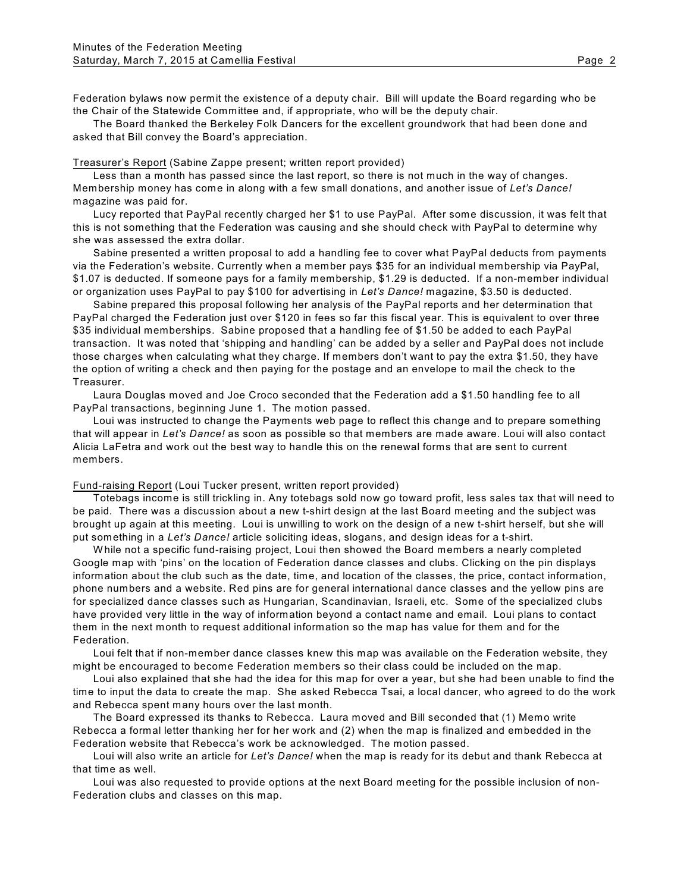Federation bylaws now permit the existence of a deputy chair. Bill will update the Board regarding who be the Chair of the Statewide Committee and, if appropriate, who will be the deputy chair.

The Board thanked the Berkeley Folk Dancers for the excellent groundwork that had been done and asked that Bill convey the Board's appreciation.

#### Treasurer's Report (Sabine Zappe present; written report provided)

Less than a month has passed since the last report, so there is not much in the way of changes. Membership money has come in along with a few small donations, and another issue of *Let's Dance!* magazine was paid for.

Lucy reported that PayPal recently charged her \$1 to use PayPal. After some discussion, it was felt that this is not something that the Federation was causing and she should check with PayPal to determine why she was assessed the extra dollar.

Sabine presented a written proposal to add a handling fee to cover what PayPal deducts from payments via the Federation's website. Currently when a member pays \$35 for an individual membership via PayPal, \$1.07 is deducted. If someone pays for a family membership, \$1.29 is deducted. If a non-member individual or organization uses PayPal to pay \$100 for advertising in *Let's Dance!* magazine, \$3.50 is deducted.

Sabine prepared this proposal following her analysis of the PayPal reports and her determination that PayPal charged the Federation just over \$120 in fees so far this fiscal year. This is equivalent to over three \$35 individual memberships. Sabine proposed that a handling fee of \$1.50 be added to each PayPal transaction. It was noted that 'shipping and handling' can be added by a seller and PayPal does not include those charges when calculating what they charge. If members don't want to pay the extra \$1.50, they have the option of writing a check and then paying for the postage and an envelope to mail the check to the Treasurer.

Laura Douglas moved and Joe Croco seconded that the Federation add a \$1.50 handling fee to all PayPal transactions, beginning June 1. The motion passed.

Loui was instructed to change the Payments web page to reflect this change and to prepare something that will appear in *Let's Dance!* as soon as possible so that members are made aware. Loui will also contact Alicia LaFetra and work out the best way to handle this on the renewal forms that are sent to current members.

## Fund-raising Report (Loui Tucker present, written report provided)

Totebags income is still trickling in. Any totebags sold now go toward profit, less sales tax that will need to be paid. There was a discussion about a new t-shirt design at the last Board meeting and the subject was brought up again at this meeting. Loui is unwilling to work on the design of a new t-shirt herself, but she will put something in a *Let's Dance!* article soliciting ideas, slogans, and design ideas for a t-shirt.

W hile not a specific fund-raising project, Loui then showed the Board members a nearly completed Google map with 'pins' on the location of Federation dance classes and clubs. Clicking on the pin displays information about the club such as the date, time, and location of the classes, the price, contact information, phone numbers and a website. Red pins are for general international dance classes and the yellow pins are for specialized dance classes such as Hungarian, Scandinavian, Israeli, etc. Some of the specialized clubs have provided very little in the way of information beyond a contact name and email. Loui plans to contact them in the next month to request additional information so the map has value for them and for the Federation.

Loui felt that if non-member dance classes knew this map was available on the Federation website, they might be encouraged to become Federation members so their class could be included on the map.

Loui also explained that she had the idea for this map for over a year, but she had been unable to find the time to input the data to create the map. She asked Rebecca Tsai, a local dancer, who agreed to do the work and Rebecca spent many hours over the last month.

The Board expressed its thanks to Rebecca. Laura moved and Bill seconded that (1) Memo write Rebecca a formal letter thanking her for her work and (2) when the map is finalized and embedded in the Federation website that Rebecca's work be acknowledged. The motion passed.

Loui will also write an article for *Let's Dance!* when the map is ready for its debut and thank Rebecca at that time as well.

Loui was also requested to provide options at the next Board meeting for the possible inclusion of non-Federation clubs and classes on this map.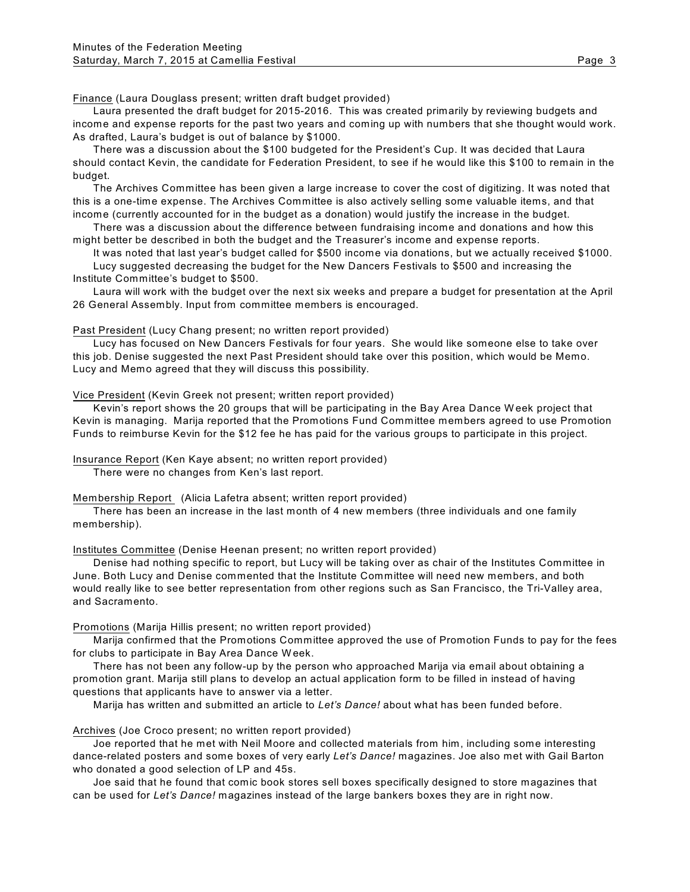Finance (Laura Douglass present; written draft budget provided)

Laura presented the draft budget for 2015-2016. This was created primarily by reviewing budgets and income and expense reports for the past two years and coming up with numbers that she thought would work. As drafted, Laura's budget is out of balance by \$1000.

There was a discussion about the \$100 budgeted for the President's Cup. It was decided that Laura should contact Kevin, the candidate for Federation President, to see if he would like this \$100 to remain in the budget.

The Archives Committee has been given a large increase to cover the cost of digitizing. It was noted that this is a one-time expense. The Archives Committee is also actively selling some valuable items, and that income (currently accounted for in the budget as a donation) would justify the increase in the budget.

There was a discussion about the difference between fundraising income and donations and how this might better be described in both the budget and the Treasurer's income and expense reports.

It was noted that last year's budget called for \$500 income via donations, but we actually received \$1000.

Lucy suggested decreasing the budget for the New Dancers Festivals to \$500 and increasing the Institute Committee's budget to \$500.

Laura will work with the budget over the next six weeks and prepare a budget for presentation at the April 26 General Assembly. Input from committee members is encouraged.

Past President (Lucy Chang present; no written report provided)

Lucy has focused on New Dancers Festivals for four years. She would like someone else to take over this job. Denise suggested the next Past President should take over this position, which would be Memo. Lucy and Memo agreed that they will discuss this possibility.

Vice President (Kevin Greek not present; written report provided)

Kevin's report shows the 20 groups that will be participating in the Bay Area Dance W eek project that Kevin is managing. Marija reported that the Promotions Fund Committee members agreed to use Promotion Funds to reimburse Kevin for the \$12 fee he has paid for the various groups to participate in this project.

Insurance Report (Ken Kaye absent; no written report provided)

There were no changes from Ken's last report.

Membership Report (Alicia Lafetra absent; written report provided)

There has been an increase in the last month of 4 new members (three individuals and one family membership).

Institutes Committee (Denise Heenan present; no written report provided)

Denise had nothing specific to report, but Lucy will be taking over as chair of the Institutes Committee in June. Both Lucy and Denise commented that the Institute Committee will need new members, and both would really like to see better representation from other regions such as San Francisco, the Tri-Valley area, and Sacramento.

#### Promotions (Marija Hillis present; no written report provided)

Marija confirmed that the Promotions Committee approved the use of Promotion Funds to pay for the fees for clubs to participate in Bay Area Dance W eek.

There has not been any follow-up by the person who approached Marija via email about obtaining a promotion grant. Marija still plans to develop an actual application form to be filled in instead of having questions that applicants have to answer via a letter.

Marija has written and submitted an article to *Let's Dance!* about what has been funded before.

Archives (Joe Croco present; no written report provided)

Joe reported that he met with Neil Moore and collected materials from him, including some interesting dance-related posters and some boxes of very early *Let's Dance!* magazines. Joe also met with Gail Barton who donated a good selection of LP and 45s.

Joe said that he found that comic book stores sell boxes specifically designed to store magazines that can be used for *Let's Dance!* magazines instead of the large bankers boxes they are in right now.